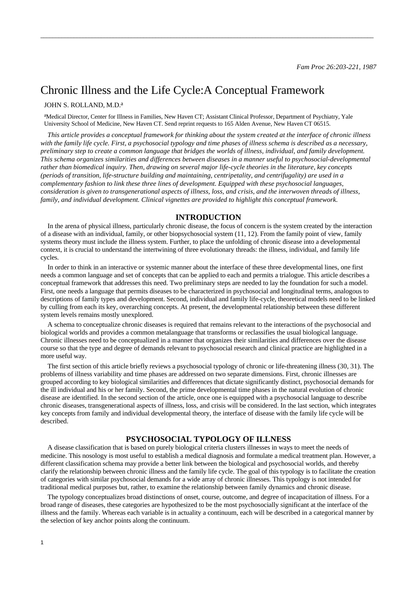# Chronic Illness and the Life Cycle:A Conceptual Framework

#### JOHN S. ROLLAND, M.D.a

a Medical Director, Center for Illness in Families, New Haven CT; Assistant Clinical Professor, Department of Psychiatry, Yale University School of Medicine, New Haven CT. Send reprint requests to 165 Alden Avenue, New Haven CT 06515.

 $\_$  ,  $\_$  ,  $\_$  ,  $\_$  ,  $\_$  ,  $\_$  ,  $\_$  ,  $\_$  ,  $\_$  ,  $\_$  ,  $\_$  ,  $\_$  ,  $\_$  ,  $\_$  ,  $\_$  ,  $\_$  ,  $\_$  ,  $\_$  ,  $\_$  ,  $\_$  ,  $\_$  ,  $\_$  ,  $\_$  ,  $\_$  ,  $\_$  ,  $\_$  ,  $\_$  ,  $\_$  ,  $\_$  ,  $\_$  ,  $\_$  ,  $\_$  ,  $\_$  ,  $\_$  ,  $\_$  ,  $\_$  ,  $\_$  ,

*This article provides a conceptual framework for thinking about the system created at the interface of chronic illness with the family life cycle. First, a psychosocial typology and time phases of illness schema is described as a necessary, preliminary step to create a common language that bridges the worlds of illness, individual, and family development. This schema organizes similarities and differences between diseases in a manner useful to psychosocial-developmental rather than biomedical inquiry. Then, drawing on several major life-cycle theories in the literature, key concepts (periods of transition, life-structure building and maintaining, centripetality, and centrifugality) are used in a complementary fashion to link these three lines of development. Equipped with these psychosocial languages, consideration is given to transgenerational aspects of illness, loss, and crisis, and the interwoven threads of illness, family, and individual development. Clinical vignettes are provided to highlight this conceptual framework.*

## **INTRODUCTION**

In the arena of physical illness, particularly chronic disease, the focus of concern is the system created by the interaction of a disease with an individual, family, or other biopsychosocial system (11, 12). From the family point of view, family systems theory must include the illness system. Further, to place the unfolding of chronic disease into a developmental context, it is crucial to understand the intertwining of three evolutionary threads: the illness, individual, and family life cycles.

In order to think in an interactive or systemic manner about the interface of these three developmental lines, one first needs a common language and set of concepts that can be applied to each and permits a trialogue. This article describes a conceptual framework that addresses this need. Two preliminary steps are needed to lay the foundation for such a model. First, one needs a language that permits diseases to be characterized in psychosocial and longitudinal terms, analogous to descriptions of family types and development. Second, individual and family life-cycle, theoretical models need to be linked by culling from each its key, overarching concepts. At present, the developmental relationship between these different system levels remains mostly unexplored.

A schema to conceptualize chronic diseases is required that remains relevant to the interactions of the psychosocial and biological worlds and provides a common metalanguage that transforms or reclassifies the usual biological language. Chronic illnesses need to be conceptualized in a manner that organizes their similarities and differences over the disease course so that the type and degree of demands relevant to psychosocial research and clinical practice are highlighted in a more useful way.

The first section of this article briefly reviews a psychosocial typology of chronic or life-threatening illness (30, 31). The problems of illness variability and time phases are addressed on two separate dimensions. First, chronic illnesses are grouped according to key biological similarities and differences that dictate significantly distinct, psychosocial demands for the ill individual and his or her family. Second, the prime developmental time phases in the natural evolution of chronic disease are identified. In the second section of the article, once one is equipped with a psychosocial language to describe chronic diseases, transgenerational aspects of illness, loss, and crisis will be considered. In the last section, which integrates key concepts from family and individual developmental theory, the interface of disease with the family life cycle will be described.

## **PSYCHOSOCIAL TYPOLOGY OF ILLNESS**

A disease classification that is based on purely biological criteria clusters illnesses in ways to meet the needs of medicine. This nosology is most useful to establish a medical diagnosis and formulate a medical treatment plan. However, a different classification schema may provide a better link between the biological and psychosocial worlds, and thereby clarify the relationship between chronic illness and the family life cycle. The goal of this typology is to facilitate the creation of categories with similar psychosocial demands for a wide array of chronic illnesses. This typology is not intended for traditional medical purposes but, rather, to examine the relationship between family dynamics and chronic disease.

The typology conceptualizes broad distinctions of onset, course, outcome, and degree of incapacitation of illness. For a broad range of diseases, these categories are hypothesized to be the most psychosocially significant at the interface of the illness and the family. Whereas each variable is in actuality a continuum, each will be described in a categorical manner by the selection of key anchor points along the continuum.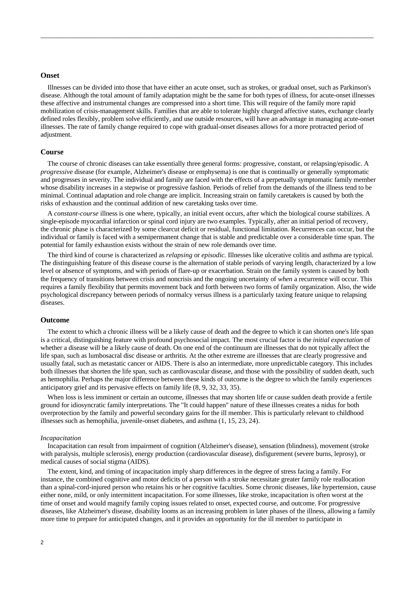#### **Onset**

Illnesses can be divided into those that have either an acute onset, such as strokes, or gradual onset, such as Parkinson's disease. Although the total amount of family adaptation might be the same for both types of illness, for acute-onset illnesses these affective and instrumental changes are compressed into a short time. This will require of the family more rapid mobilization of crisis-management skills. Families that are able to tolerate highly charged affective states, exchange clearly defined roles flexibly, problem solve efficiently, and use outside resources, will have an advantage in managing acute-onset illnesses. The rate of family change required to cope with gradual-onset diseases allows for a more protracted period of adjustment.

 $\_$  ,  $\_$  ,  $\_$  ,  $\_$  ,  $\_$  ,  $\_$  ,  $\_$  ,  $\_$  ,  $\_$  ,  $\_$  ,  $\_$  ,  $\_$  ,  $\_$  ,  $\_$  ,  $\_$  ,  $\_$  ,  $\_$  ,  $\_$  ,  $\_$  ,  $\_$  ,  $\_$  ,  $\_$  ,  $\_$  ,  $\_$  ,  $\_$  ,  $\_$  ,  $\_$  ,  $\_$  ,  $\_$  ,  $\_$  ,  $\_$  ,  $\_$  ,  $\_$  ,  $\_$  ,  $\_$  ,  $\_$  ,  $\_$  ,

#### **Course**

The course of chronic diseases can take essentially three general forms: progressive, constant, or relapsing/episodic. A *progressive* disease (for example, Alzheimer's disease or emphysema) is one that is continually or generally symptomatic and progresses in severity. The individual and family are faced with the effects of a perpetually symptomatic family member whose disability increases in a stepwise or progressive fashion. Periods of relief from the demands of the illness tend to be minimal. Continual adaptation and role change are implicit. Increasing strain on family caretakers is caused by both the risks of exhaustion and the continual addition of new caretaking tasks over time.

A *constant-course* illness is one where, typically, an initial event occurs, after which the biological course stabilizes. A single-episode myocardial infarction or spinal cord injury are two examples. Typically, after an initial period of recovery, the chronic phase is characterized by some clearcut deficit or residual, functional limitation. Recurrences can occur, but the individual or family is faced with a semipermanent change that is stable and predictable over a considerable time span. The potential for family exhaustion exists without the strain of new role demands over time.

The third kind of course is characterized as *relapsing* or *episodic.* Illnesses like ulcerative colitis and asthma are typical. The distinguishing feature of this disease course is the alternation of stable periods of varying length, characterized by a low level or absence of symptoms, and with periods of flare-up or exacerbation. Strain on the family system is caused by both the frequency of transitions between crisis and noncrisis and the ongoing uncertainty of *when* a recurrence will occur. This requires a family flexibility that permits movement back and forth between two forms of family organization. Also, the wide psychological discrepancy between periods of normalcy versus illness is a particularly taxing feature unique to relapsing diseases.

## **Outcome**

The extent to which a chronic illness will be a likely cause of death and the degree to which it can shorten one's life span is a critical, distinguishing feature with profound psychosocial impact. The most crucial factor is the *initial expectation* of whether a disease will be a likely cause of death. On one end of the continuum are illnesses that do not typically affect the life span, such as lumbosacral disc disease or arthritis. At the other extreme are illnesses that are clearly progressive and usually fatal, such as metastatic cancer or AIDS. There is also an intermediate, more unpredictable category. This includes both illnesses that shorten the life span, such as cardiovascular disease, and those with the possibility of sudden death, such as hemophilia. Perhaps the major difference between these kinds of outcome is the degree to which the family experiences anticipatory grief and its pervasive effects on family life (8, 9, 32, 33, 35).

When loss is less imminent or certain an outcome, illnesses that may shorten life or cause sudden death provide a fertile ground for idiosyncratic family interpretations. The "It could happen" nature of these illnesses creates a nidus for both overprotection by the family and powerful secondary gains for the ill member. This is particularly relevant to childhood illnesses such as hemophilia, juvenile-onset diabetes, and asthma (1, 15, 23, 24).

#### *Incapacitation*

Incapacitation can result from impairment of cognition (Alzheimer's disease), sensation (blindness), movement (stroke with paralysis, multiple sclerosis), energy production (cardiovascular disease), disfigurement (severe burns, leprosy), or medical causes of social stigma (AIDS).

The extent, kind, and timing of incapacitation imply sharp differences in the degree of stress facing a family. For instance, the combined cognitive and motor deficits of a person with a stroke necessitate greater family role reallocation than a spinal-cord-injured person who retains his or her cognitive faculties. Some chronic diseases, like hypertension, cause either none, mild, or only intermittent incapacitation. For some illnesses, like stroke, incapacitation is often worst at the time of onset and would magnify family coping issues related to onset, expected course, and outcome. For progressive diseases, like Alzheimer's disease, disability looms as an increasing problem in later phases of the illness, allowing a family more time to prepare for anticipated changes, and it provides an opportunity for the ill member to participate in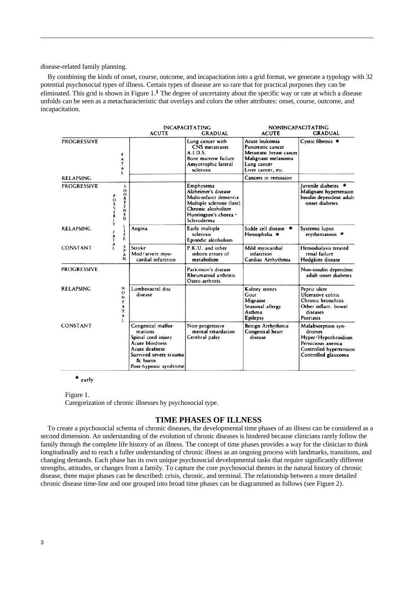disease-related family planning.

By combining the kinds of onset, course, outcome, and incapacitation into a grid format, we generate a typology with 32 potential psychosocial types of illness. Certain types of disease are so rare that for practical purposes they can be eliminated. This grid is shown in Figure 1. **1** The degree of uncertainty about the specific way or rate at which a disease unfolds can be seen as a metacharacteristic that overlays and colors the other attributes: onset, course, outcome, and incapacitation.

 $\_$  ,  $\_$  ,  $\_$  ,  $\_$  ,  $\_$  ,  $\_$  ,  $\_$  ,  $\_$  ,  $\_$  ,  $\_$  ,  $\_$  ,  $\_$  ,  $\_$  ,  $\_$  ,  $\_$  ,  $\_$  ,  $\_$  ,  $\_$  ,  $\_$  ,  $\_$  ,  $\_$  ,  $\_$  ,  $\_$  ,  $\_$  ,  $\_$  ,  $\_$  ,  $\_$  ,  $\_$  ,  $\_$  ,  $\_$  ,  $\_$  ,  $\_$  ,  $\_$  ,  $\_$  ,  $\_$  ,  $\_$  ,  $\_$  ,

|                    |                                                                    | <b>INCAPACITATING</b><br><b>ACUTE</b><br><b>GRADUAL</b>                                                                                                       |                                                                                                                                                       | NONINCAPACITATING<br><b>GRADUAL</b><br><b>ACUTE</b>                                                                        |                                                                                                                            |
|--------------------|--------------------------------------------------------------------|---------------------------------------------------------------------------------------------------------------------------------------------------------------|-------------------------------------------------------------------------------------------------------------------------------------------------------|----------------------------------------------------------------------------------------------------------------------------|----------------------------------------------------------------------------------------------------------------------------|
| <b>PROGRESSIVE</b> | F<br>A<br>T<br>A<br>L                                              |                                                                                                                                                               | Lung cancer with<br>CNS metastases<br>A.I.D.S.<br>Bone marrow failure<br>Amyotrophic lateral<br>sclerosis                                             | Acute leukemia<br>Pancreatic cancer<br>Metastatic breast cancer<br>Malignant melanoma<br>Lung cancer<br>Liver cancer, etc. | Cystic fibrosis *                                                                                                          |
| <b>RELAPSING</b>   |                                                                    |                                                                                                                                                               |                                                                                                                                                       | Cancers in remission                                                                                                       |                                                                                                                            |
| <b>PROGRESSIVE</b> | н<br>O<br>R<br>T<br>E<br><b>POSS</b><br>N<br>E<br>B<br>L<br>D<br>Y | s                                                                                                                                                             | Emphysema<br>Alzheimer's disease<br>Multi-infarct dementia<br>Multiple sclerosis (late)<br>Chronic alcoholism<br>Huntington's chorea ·<br>Scleroderma |                                                                                                                            | Juvenile diabetes *<br>Malignant hypertension<br>Insulin dependent adult<br>onset diabetes                                 |
| <b>RELAPSING</b>   | L<br>Ī<br>F<br>A<br>T<br>A<br>I<br>F<br>E                          | Angina                                                                                                                                                        | Early multiple<br>sclerosis<br>Episodic alcoholism                                                                                                    | Sickle cell disease *<br>Hemophelia *                                                                                      | Systemic lupus<br>erythematosis *                                                                                          |
| <b>CONSTANT</b>    | $\mathsf{s}$<br>$\bar{P}$<br>A<br>N                                | Stroke<br>Mod/severe myo-<br>cardial infarction                                                                                                               | P.K.U. and other<br>inborn errors of<br>metabolism                                                                                                    | Mild myocardial<br>infarction<br>Cardiac Arrhythmia                                                                        | Hemodialysis treated<br>renal failure<br>Hodgkins disease                                                                  |
| <b>PROGRESSIVE</b> |                                                                    |                                                                                                                                                               | Parkinson's disease<br>Rheumatoid arthritis<br>Osteo-arthritis                                                                                        |                                                                                                                            | Non-insulin dependent<br>adult onset diabetes                                                                              |
| <b>RELAPSING</b>   | N<br>$\circ$<br>N<br>F<br>A<br>T<br>A<br>г                         | Lumbosacral disc<br>disease                                                                                                                                   |                                                                                                                                                       | Kidney stones<br>Gout<br>Migraine<br>Seasonal allergy<br>Asthma<br>Epilepsy                                                | Peptic ulcer<br>Ulcerative colitis<br>Chronic bronchitis<br>Other inflam, bowel<br>diseases<br>Psoriasis                   |
| <b>CONSTANT</b>    |                                                                    | Congenital malfor-<br>mations<br>Spinal cord injury<br><b>Acute blindness</b><br>Acute deafness<br>Survived severe trauma<br>& burns<br>Post-hypoxic syndrome | Non-progressive<br>mental retardation<br>Cerebral palsy                                                                                               | Benign Arrhythmia<br>Congenital heart<br>disease                                                                           | Malabsorption syn-<br>dromes<br>Hyper/Hypothroidism<br>Pernicious anemia<br>Controlled hypertension<br>Controlled glaucoma |

 $*$  early

Figure 1.

Categorization of chronic illnesses by psychosocial type.

## **TIME PHASES OF ILLNESS**

To create a psychosocial schema of chronic diseases, the developmental time phases of an illness can be considered as a second dimension. An understanding of the evolution of chronic diseases is hindered because clinicians rarely follow the family through the complete life history of an illness. The concept of time phases provides a way for the clinician to think longitudinally and to reach a fuller understanding of chronic illness as an ongoing process with landmarks, transitions, and changing demands. Each phase has its own unique psychosocial developmental tasks that require significantly different strengths, attitudes, or changes from a family. To capture the core psychosocial themes in the natural history of chronic disease, three major phases can be described: crisis, chronic, and terminal. The relationship between a more detailed chronic disease time-line and one grouped into broad time phases can be diagrammed as follows (see Figure 2).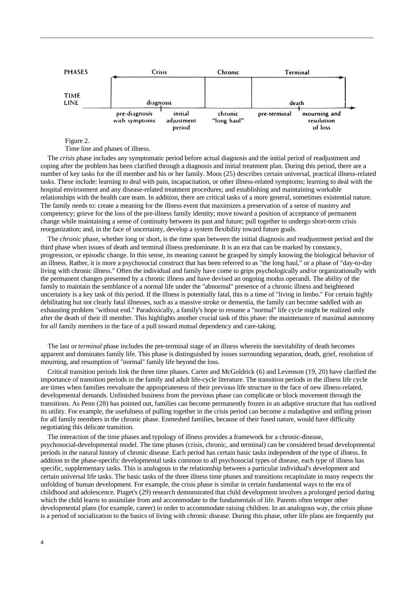

 $\_$  ,  $\_$  ,  $\_$  ,  $\_$  ,  $\_$  ,  $\_$  ,  $\_$  ,  $\_$  ,  $\_$  ,  $\_$  ,  $\_$  ,  $\_$  ,  $\_$  ,  $\_$  ,  $\_$  ,  $\_$  ,  $\_$  ,  $\_$  ,  $\_$  ,  $\_$  ,  $\_$  ,  $\_$  ,  $\_$  ,  $\_$  ,  $\_$  ,  $\_$  ,  $\_$  ,  $\_$  ,  $\_$  ,  $\_$  ,  $\_$  ,  $\_$  ,  $\_$  ,  $\_$  ,  $\_$  ,  $\_$  ,  $\_$  ,

Time line and phases of illness.

The *crisis* phase includes any symptomatic period before actual diagnosis and the initial period of readjustment and coping after the problem has been clarified through a diagnosis and initial treatment plan. During this period, there are a number of key tasks for the ill member and his or her family. Moos (25) describes certain universal, practical illness-related tasks. These include: learning to deal with pain, incapacitation, or other illness-related symptoms; learning to deal with the hospital environment and any disease-related treatment procedures; and establishing and maintaining workable relationships with the health care team. In addition, there are critical tasks of a more general, sometimes existential nature. The family needs to: create a meaning for the illness event that maximizes a preservation of a sense of mastery and competency; grieve for the loss of the pre-illness family identity; move toward a position of acceptance of permanent change while maintaining a sense of continuity between its past and future; pull together to undergo short-term crisis reorganization; and, in the face of uncertainty, develop a system flexibility toward future goals.

The *chronic* phase, whether long or short, is the time span between the initial diagnosis and readjustment period and the third phase when issues of death and terminal illness predominate. It is an era that can be marked by constancy, progression, or episodic change. In this sense, its meaning cannot be grasped by simply knowing the biological behavior of an illness. Rather, it is more a psychosocial construct that has been referred to as "the long haul," or a phase of "day-to-day living with chronic illness." Often the individual and family have come to grips psychologically and/or organizationally with the permanent changes presented by a chronic illness and have devised an ongoing modus operandi. The ability of the family to maintain the semblance of a normal life under the "abnormal" presence of a chronic illness and heightened uncertainty is a key task of this period. If the illness is potentially fatal, this is a time of "living in limbo." For certain highly debilitating but not clearly fatal illnesses, such as a massive stroke or dementia, the family can become saddled with an exhausting problem "without end." Paradoxically, a family's hope to resume a "normal" life cycle might be realized only after the death of their ill member. This highlights another crucial task of this phase: the maintenance of maximal autonomy for *all* family members in the face of a pull toward mutual dependency and care-taking.

The last or *terminal* phase includes the pre-terminal stage of an illness wherein the inevitability of death becomes apparent and dominates family life. This phase is distinguished by issues surrounding separation, death, grief, resolution of mourning, and resumption of "normal" family life beyond the loss.

Critical transition periods link the three time phases. Carter and McGoldrick (6) and Levenson (19, 20) have clarified the importance of transition periods in the family and adult life-cycle literature. The transition periods in the illness life cycle are times when families reevaluate the appropriateness of their previous life structure in the face of new illness-related, developmental demands. Unfinished business from the previous phase can complicate or block movement through the transitions. As Penn (28) has pointed out, families can become permanently frozen in an adaptive structure that has outlived its utility. For example, the usefulness of pulling together in the crisis period can become a maladaptive and stifling prison for all family members in the chronic phase. Enmeshed families, because of their fused nature, would have difficulty negotiating this delicate transition.

The interaction of the time phases and typology of illness provides a framework for a chronic-disease, psychosocial-developmental model. The time phases (crisis, chronic, and terminal) can be considered broad developmental periods in the natural history of chronic disease. Each period has certain basic tasks independent of the type of illness. In addition to the phase-specific developmental tasks common to all psychosocial types of disease, each type of illness has specific, supplementary tasks. This is analogous to the relationship between a particular individual's development and certain universal life tasks. The basic tasks of the three illness time phases and transitions recapitulate in many respects the unfolding of human development. For example, the crisis phase is similar in certain fundamental ways to the era of childhood and adolescence. Piaget's (29) research demonstrated that child development involves a prolonged period during which the child learns to assimilate from and accommodate to the fundamentals of life. Parents often temper other developmental plans (for example, career) in order to accommodate raising children. In an analogous way, the crisis phase is a period of socialization to the basics of living with chronic disease. During this phase, other life plans are frequently put

Figure 2.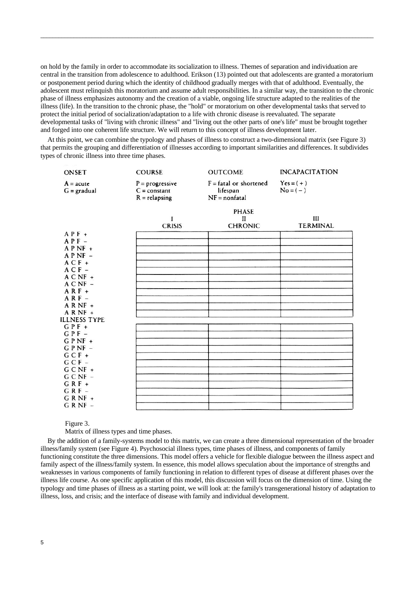on hold by the family in order to accommodate its socialization to illness. Themes of separation and individuation are central in the transition from adolescence to adulthood. Erikson (13) pointed out that adolescents are granted a moratorium or postponement period during which the identity of childhood gradually merges with that of adulthood. Eventually, the adolescent must relinquish this moratorium and assume adult responsibilities. In a similar way, the transition to the chronic phase of illness emphasizes autonomy and the creation of a viable, ongoing life structure adapted to the realities of the illness (life). In the transition to the chronic phase, the "hold" or moratorium on other developmental tasks that served to protect the initial period of socialization/adaptation to a life with chronic disease is reevaluated. The separate developmental tasks of "living with chronic illness" and "living out the other parts of one's life" must be brought together and forged into one coherent life structure. We will return to this concept of illness development later.

 $\_$  ,  $\_$  ,  $\_$  ,  $\_$  ,  $\_$  ,  $\_$  ,  $\_$  ,  $\_$  ,  $\_$  ,  $\_$  ,  $\_$  ,  $\_$  ,  $\_$  ,  $\_$  ,  $\_$  ,  $\_$  ,  $\_$  ,  $\_$  ,  $\_$  ,  $\_$  ,  $\_$  ,  $\_$  ,  $\_$  ,  $\_$  ,  $\_$  ,  $\_$  ,  $\_$  ,  $\_$  ,  $\_$  ,  $\_$  ,  $\_$  ,  $\_$  ,  $\_$  ,  $\_$  ,  $\_$  ,  $\_$  ,  $\_$  ,

At this point, we can combine the typology and phases of illness to construct a two-dimensional matrix (see Figure 3) that permits the grouping and differentiation of illnesses according to important similarities and differences. It subdivides types of chronic illness into three time phases.

| ONSET                               | <b>COURSE</b>                                          | <b>OUTCOME</b>                                                 | <b>INCAPACITATION</b>     |
|-------------------------------------|--------------------------------------------------------|----------------------------------------------------------------|---------------------------|
| $A = acute$<br>$G = \text{gradual}$ | $P = progressive$<br>$C = constant$<br>$R =$ relapsing | $F = \text{fatal}$ or shortened<br>lifespan<br>$NF = nonfatal$ | $Yes = (+)$<br>$No = (-)$ |
|                                     | I<br><b>CRISIS</b>                                     | <b>PHASE</b><br>$_{II}$<br><b>CHRONIC</b>                      | III<br><b>TERMINAL</b>    |
| $APF +$                             |                                                        |                                                                |                           |
| $APF -$                             |                                                        |                                                                |                           |
| $APNF +$                            |                                                        |                                                                |                           |
| $APNF -$                            |                                                        |                                                                |                           |
| $ACF +$<br>$ACF -$                  |                                                        |                                                                |                           |
| $ACNF +$                            |                                                        |                                                                |                           |
| $ACNF -$                            |                                                        |                                                                |                           |
| $ARF +$                             |                                                        |                                                                |                           |
| $ARF -$                             |                                                        |                                                                |                           |
| $ARNF +$                            |                                                        |                                                                |                           |
| $ARNF +$                            |                                                        |                                                                |                           |
| <b>ILLNESS TYPE</b>                 |                                                        |                                                                |                           |
| $GPF +$                             |                                                        |                                                                |                           |
| $G$ P F $-$                         |                                                        |                                                                |                           |
| $GPNF +$                            |                                                        |                                                                |                           |
| $GPNF -$                            |                                                        |                                                                |                           |
| $GCF +$<br>$GCF -$                  |                                                        |                                                                |                           |
| $G CNF +$                           |                                                        |                                                                |                           |
| $G CNF -$                           |                                                        |                                                                |                           |
| $G$ R F +                           |                                                        |                                                                |                           |
| $G$ R F $-$                         |                                                        |                                                                |                           |
| $G$ R NF +                          |                                                        |                                                                |                           |
| $G \, R \, NF -$                    |                                                        |                                                                |                           |
|                                     |                                                        |                                                                |                           |

Figure 3.

Matrix of illness types and time phases.

By the addition of a family-systems model to this matrix, we can create a three dimensional representation of the broader illness/family system (see Figure 4). Psychosocial illness types, time phases of illness, and components of family functioning constitute the three dimensions. This model offers a vehicle for flexible dialogue between the illness aspect and family aspect of the illness/family system. In essence, this model allows speculation about the importance of strengths and weaknesses in various components of family functioning in relation to different types of disease at different phases over the illness life course. As one specific application of this model, this discussion will focus on the dimension of time. Using the typology and time phases of illness as a starting point, we will look at: the family's transgenerational history of adaptation to illness, loss, and crisis; and the interface of disease with family and individual development.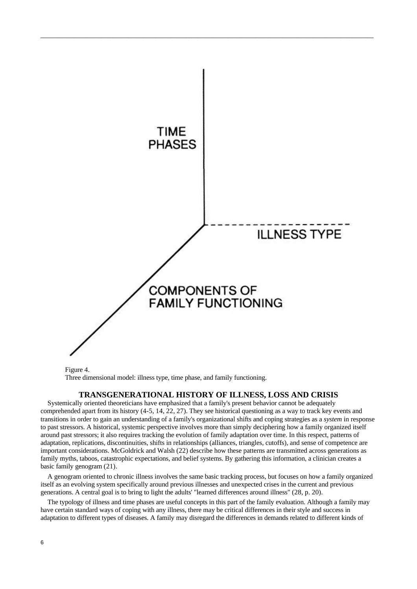

 $\_$  ,  $\_$  ,  $\_$  ,  $\_$  ,  $\_$  ,  $\_$  ,  $\_$  ,  $\_$  ,  $\_$  ,  $\_$  ,  $\_$  ,  $\_$  ,  $\_$  ,  $\_$  ,  $\_$  ,  $\_$  ,  $\_$  ,  $\_$  ,  $\_$  ,  $\_$  ,  $\_$  ,  $\_$  ,  $\_$  ,  $\_$  ,  $\_$  ,  $\_$  ,  $\_$  ,  $\_$  ,  $\_$  ,  $\_$  ,  $\_$  ,  $\_$  ,  $\_$  ,  $\_$  ,  $\_$  ,  $\_$  ,  $\_$  ,

Figure 4. Three dimensional model: illness type, time phase, and family functioning.

## **TRANSGENERATIONAL HISTORY OF ILLNESS, LOSS AND CRISIS**

Systemically oriented theoreticians have emphasized that a family's present behavior cannot be adequately comprehended apart from its history (4-5, 14, 22, 27). They see historical questioning as a way to track key events and transitions in order to gain an understanding of a family's organizational shifts and coping strategies as a *system* in response to past stressors. A historical, systemic perspective involves more than simply deciphering how a family organized itself around past stressors; it also requires tracking the evolution of family adaptation over time. In this respect, patterns of adaptation, replications, discontinuities, shifts in relationships (alliances, triangles, cutoffs), and sense of competence are important considerations. McGoldrick and Walsh (22) describe how these patterns are transmitted across generations as family myths, taboos, catastrophic expectations, and belief systems. By gathering this information, a clinician creates a basic family genogram (21).

A genogram oriented to chronic illness involves the same basic tracking process, but focuses on how a family organized itself as an evolving system specifically around previous illnesses and unexpected crises in the current and previous generations. A central goal is to bring to light the adults' "learned differences around illness" (28, p. 20).

The typology of illness and time phases are useful concepts in this part of the family evaluation. Although a family may have certain standard ways of coping with any illness, there may be critical differences in their style and success in adaptation to different types of diseases. A family may disregard the differences in demands related to different kinds of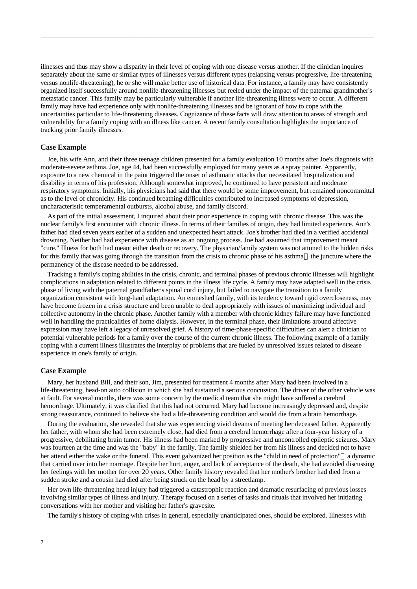illnesses and thus may show a disparity in their level of coping with one disease versus another. If the clinician inquires separately about the same or similar types of illnesses versus different types (relapsing versus progressive, life-threatening versus nonlife-threatening), he or she will make better use of historical data. For instance, a family may have consistently organized itself successfully around nonlife-threatening illnesses but reeled under the impact of the paternal grandmother's metastatic cancer. This family may be particularly vulnerable if another life-threatening illness were to occur. A different family may have had experience only with nonlife-threatening illnesses and be ignorant of how to cope with the uncertainties particular to life-threatening diseases. Cognizance of these facts will draw attention to areas of strength and vulnerability for a family coping with an illness like cancer. A recent family consultation highlights the importance of tracking prior family illnesses.

 $\_$  ,  $\_$  ,  $\_$  ,  $\_$  ,  $\_$  ,  $\_$  ,  $\_$  ,  $\_$  ,  $\_$  ,  $\_$  ,  $\_$  ,  $\_$  ,  $\_$  ,  $\_$  ,  $\_$  ,  $\_$  ,  $\_$  ,  $\_$  ,  $\_$  ,  $\_$  ,  $\_$  ,  $\_$  ,  $\_$  ,  $\_$  ,  $\_$  ,  $\_$  ,  $\_$  ,  $\_$  ,  $\_$  ,  $\_$  ,  $\_$  ,  $\_$  ,  $\_$  ,  $\_$  ,  $\_$  ,  $\_$  ,  $\_$  ,

#### **Case Example**

Joe, his wife Ann, and their three teenage children presented for a family evaluation 10 months after Joe's diagnosis with moderate-severe asthma. Joe, age 44, had been successfully employed for many years as a spray painter. Apparently, exposure to a new chemical in the paint triggered the onset of asthmatic attacks that necessitated hospitalization and disability in terms of his profession. Although somewhat improved, he continued to have persistent and moderate respiratory symptoms. Initially, his physicians had said that there would be some improvement, but remained noncommittal as to the level of chronicity. His continued breathing difficulties contributed to increased symptoms of depression, uncharacteristic temperamental outbursts, alcohol abuse, and family discord.

As part of the initial assessment, I inquired about their prior experience in coping with chronic disease. This was the nuclear family's first encounter with chronic illness. In terms of their families of origin, they had limited experience. Ann's father had died seven years earlier of a sudden and unexpected heart attack. Joe's brother had died in a verified accidental drowning. Neither had had experience with disease as an ongoing process. Joe had assumed that improvement meant "cure." Illness for both had meant either death or recovery. The physician/family system was not attuned to the hidden risks for this family that was going through the transition from the crisis to chronic phase of his asthma—the juncture where the permanency of the disease needed to be addressed.

Tracking a family's coping abilities in the crisis, chronic, and terminal phases of previous chronic illnesses will highlight complications in adaptation related to different points in the illness life cycle. A family may have adapted well in the crisis phase of living with the paternal grandfather's spinal cord injury, but failed to navigate the transition to a family organization consistent with long-haul adaptation. An enmeshed family, with its tendency toward rigid overcloseness, may have become frozen in a crisis structure and been unable to deal appropriately with issues of maximizing individual and collective autonomy in the chronic phase. Another family with a member with chronic kidney failure may have functioned well in handling the practicalities of home dialysis. However, in the terminal phase, their limitations around affective expression may have left a legacy of unresolved grief. A history of time-phase-specific difficulties can alert a clinician to potential vulnerable periods for a family over the course of the current chronic illness. The following example of a family coping with a current illness illustrates the interplay of problems that are fueled by unresolved issues related to disease experience in one's family of origin.

## **Case Example**

Mary, her husband Bill, and their son, Jim, presented for treatment 4 months after Mary had been involved in a life-threatening, head-on auto collision in which she had sustained a serious concussion. The driver of the other vehicle was at fault. For several months, there was some concern by the medical team that she might have suffered a cerebral hemorrhage. Ultimately, it was clarified that this had not occurred. Mary had become increasingly depressed and, despite strong reassurance, continued to believe she had a life-threatening condition and would die from a brain hemorrhage.

During the evaluation, she revealed that she was experiencing vivid dreams of meeting her deceased father. Apparently her father, with whom she had been extremely close, had died from a cerebral hemorrhage after a four-year history of a progressive, debilitating brain tumor. His illness had been marked by progressive and uncontrolled epileptic seizures. Mary was fourteen at the time and was the "baby" in the family. The family shielded her from his illness and decided not to have her attend either the wake or the funeral. This event galvanized her position as the "child in need of protection"—a dynamic that carried over into her marriage. Despite her hurt, anger, and lack of acceptance of the death, she had avoided discussing her feelings with her mother for over 20 years. Other family history revealed that her mother's brother had died from a sudden stroke and a cousin had died after being struck on the head by a streetlamp.

Her own life-threatening head injury had triggered a catastrophic reaction and dramatic resurfacing of previous losses involving similar types of illness and injury. Therapy focused on a series of tasks and rituals that involved her initiating conversations with her mother and visiting her father's gravesite.

The family's history of coping with crises in general, especially unanticipated ones, should be explored. Illnesses with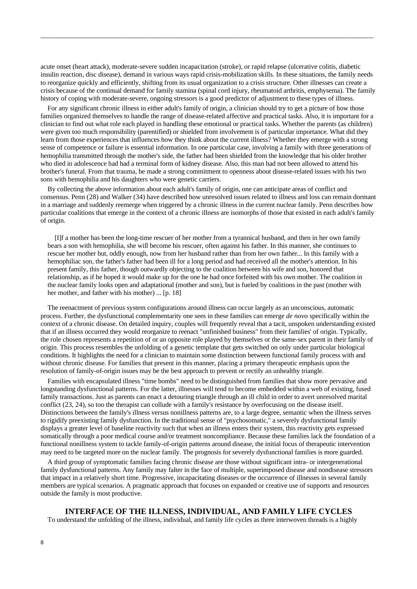acute onset (heart attack), moderate-severe sudden incapacitation (stroke), or rapid relapse (ulcerative colitis, diabetic insulin reaction, disc disease), demand in various ways rapid crisis-mobilization skills. In these situations, the family needs to reorganize quickly and efficiently, shifting from its usual organization to a crisis structure. Other illnesses can create a crisis because of the continual demand for family stamina (spinal cord injury, rheumatoid arthritis, emphysema). The family history of coping with moderate-severe, ongoing stressors is a good predictor of adjustment to these types of illness.

 $\_$  ,  $\_$  ,  $\_$  ,  $\_$  ,  $\_$  ,  $\_$  ,  $\_$  ,  $\_$  ,  $\_$  ,  $\_$  ,  $\_$  ,  $\_$  ,  $\_$  ,  $\_$  ,  $\_$  ,  $\_$  ,  $\_$  ,  $\_$  ,  $\_$  ,  $\_$  ,  $\_$  ,  $\_$  ,  $\_$  ,  $\_$  ,  $\_$  ,  $\_$  ,  $\_$  ,  $\_$  ,  $\_$  ,  $\_$  ,  $\_$  ,  $\_$  ,  $\_$  ,  $\_$  ,  $\_$  ,  $\_$  ,  $\_$  ,

For any significant chronic illness in either adult's family of origin, a clinician should try to get a picture of how those families organized themselves to handle the range of disease-related affective and practical tasks. Also, it is important for a clinician to find out what role each played in handling these emotional or practical tasks. Whether the parents (as children) were given too much responsibility (parentified) or shielded from involvement is of particular importance. What did they learn from those experiences that influences how they think about the current illness? Whether they emerge with a strong sense of competence or failure is essential information. In one particular case, involving a family with three generations of hemophilia transmitted through the mother's side, the father had been shielded from the knowledge that his older brother who died in adolescence had had a terminal form of kidney disease. Also, this man had not been allowed to attend his brother's funeral. From that trauma, he made a strong commitment to openness about disease-related issues with his two sons with hemophilia and his daughters who were genetic carriers.

By collecting the above information about each adult's family of origin, one can anticipate areas of conflict and consensus. Penn (28) and Walker (34) have described how unresolved issues related to illness and loss can remain dormant in a marriage and suddenly reemerge when triggered by a chronic illness in the current nuclear family. Penn describes how particular coalitions that emerge in the context of a chronic illness are isomorphs of those that existed in each adult's family of origin.

[I]f a mother has been the long-time rescuer of her mother from a tyrannical husband, and then in her own family bears a son with hemophilia, she will become his rescuer, often against his father. In this manner, she continues to rescue her mother but, oddly enough, now from her husband rather than from her own father... In this family with a hemophiliac son, the father's father had been ill for a long period and had received all the mother's attention. In his present family, this father, though outwardly objecting to the coalition between his wife and son, honored that relationship, as if he hoped it would make up for the one he had once forfeited with his own mother. The coalition in the nuclear family looks open and adaptational (mother and son), but is fueled by coalitions in the past (mother with her mother, and father with his mother) ... [p. 18]

The reenactment of previous system configurations around illness can occur largely as an unconscious, automatic process. Further, the dysfunctional complementarity one sees in these families can emerge *de novo* specifically within the context of a chronic disease. On detailed inquiry, couples will frequently reveal that a tacit, unspoken understanding existed that if an illness occurred they would reorganize to reenact "unfinished business" from their families' of origin. Typically, the role chosen represents a repetition of or an opposite role played by themselves or the same-sex parent in their family of origin. This process resembles the unfolding of a genetic template that gets switched on only under particular biological conditions. It highlights the need for a clinician to maintain some distinction between functional family process with and without chronic disease. For families that present in this manner, placing a primary therapeutic emphasis upon the resolution of family-of-origin issues may be the best approach to prevent or rectify an unhealthy triangle.

Families with encapsulated illness "time bombs" need to be distinguished from families that show more pervasive and longstanding dysfunctional patterns. For the latter, illnesses will tend to become embedded within a web of existing, fused family transactions. Just as parents can enact a detouring triangle through an ill child in order to avert unresolved marital conflict (23, 24), so too the therapist can collude with a family's resistance by overfocusing on the disease itself. Distinctions between the family's illness versus nonillness patterns are, to a large degree, semantic when the illness serves to rigidify preexisting family dysfunction. In the traditional sense of "psychosomatic," a severely dysfunctional family displays a greater level of baseline reactivity such that when an illness enters their system, this reactivity gets expressed somatically through a poor medical course and/or treatment noncompliance. Because these families lack the foundation of a functional nonillness system to tackle family-of-origin patterns around disease, the initial focus of therapeutic intervention may need to be targeted more on the nuclear family. The prognosis for severely dysfunctional families is more guarded.

A third group of symptomatic families facing chronic disease are those without significant intra- or intergenerational family dysfunctional patterns. Any family may falter in the face of multiple, superimposed disease and nondisease stressors that impact in a relatively short time. Progressive, incapacitating diseases or the occurrence of illnesses in several family members are typical scenarios. A pragmatic approach that focuses on expanded or creative use of supports and resources outside the family is most productive.

**INTERFACE OF THE ILLNESS, INDIVIDUAL, AND FAMILY LIFE CYCLES**

To understand the unfolding of the illness, individual, and family life cycles as three interwoven threads is a highly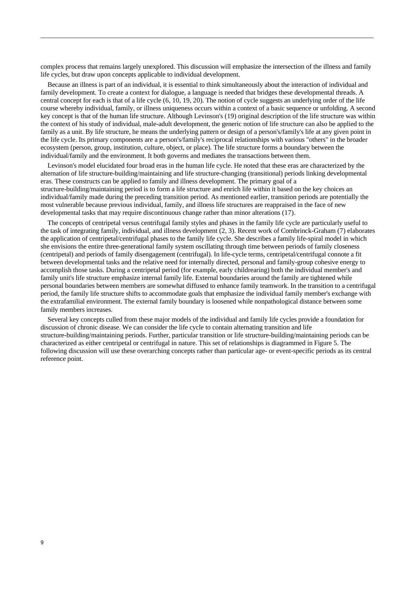complex process that remains largely unexplored. This discussion will emphasize the intersection of the illness and family life cycles, but draw upon concepts applicable to individual development.

 $\_$  ,  $\_$  ,  $\_$  ,  $\_$  ,  $\_$  ,  $\_$  ,  $\_$  ,  $\_$  ,  $\_$  ,  $\_$  ,  $\_$  ,  $\_$  ,  $\_$  ,  $\_$  ,  $\_$  ,  $\_$  ,  $\_$  ,  $\_$  ,  $\_$  ,  $\_$  ,  $\_$  ,  $\_$  ,  $\_$  ,  $\_$  ,  $\_$  ,  $\_$  ,  $\_$  ,  $\_$  ,  $\_$  ,  $\_$  ,  $\_$  ,  $\_$  ,  $\_$  ,  $\_$  ,  $\_$  ,  $\_$  ,  $\_$  ,

Because an illness is part of an individual, it is essential to think simultaneously about the interaction of individual and family development. To create a context for dialogue, a language is needed that bridges these developmental threads. A central concept for each is that of a life cycle (6, 10, 19, 20). The notion of cycle suggests an underlying order of the life course whereby individual, family, or illness uniqueness occurs within a context of a basic sequence or unfolding. A second key concept is that of the human life structure. Although Levinson's (19) original description of the life structure was within the context of his study of individual, male-adult development, the generic notion of life structure can also be applied to the family as a unit. By life structure, he means the underlying pattern or design of a person's/family's life at any given point in the life cycle. Its primary components are a person's/family's reciprocal relationships with various "others" in the broader ecosystem (person, group, institution, culture, object, or place). The life structure forms a boundary between the individual/family and the environment. It both governs and mediates the transactions between them.

Levinson's model elucidated four broad eras in the human life cycle. He noted that these eras are characterized by the alternation of life structure-building/maintaining and life structure-changing (transitional) periods linking developmental eras. These constructs can be applied to family and illness development. The primary goal of a structure-building/maintaining period is to form a life structure and enrich life within it based on the key choices an individual/family made during the preceding transition period. As mentioned earlier, transition periods are potentially the most vulnerable because previous individual, family, and illness life structures are reappraised in the face of new developmental tasks that may require discontinuous change rather than minor alterations (17).

The concepts of centripetal versus centrifugal family styles and phases in the family life cycle are particularly useful to the task of integrating family, individual, and illness development (2, 3). Recent work of Combrinck-Graham (7) elaborates the application of centripetal/centrifugal phases to the family life cycle. She describes a family life-spiral model in which she envisions the entire three-generational family system oscillating through time between periods of family closeness (centripetal) and periods of family disengagement (centrifugal). In life-cycle terms, centripetal/centrifugal connote a fit between developmental tasks and the relative need for internally directed, personal and family-group cohesive energy to accomplish those tasks. During a centripetal period (for example, early childrearing) both the individual member's and family unit's life structure emphasize internal family life. External boundaries around the family are tightened while personal boundaries between members are somewhat diffused to enhance family teamwork. In the transition to a centrifugal period, the family life structure shifts to accommodate goals that emphasize the individual family member's exchange with the extrafamilial environment. The external family boundary is loosened while nonpathological distance between some family members increases.

Several key concepts culled from these major models of the individual and family life cycles provide a foundation for discussion of chronic disease. We can consider the life cycle to contain alternating transition and life structure-building/maintaining periods. Further, particular transition or life structure-building/maintaining periods can be characterized as either centripetal or centrifugal in nature. This set of relationships is diagrammed in Figure 5. The following discussion will use these overarching concepts rather than particular age- or event-specific periods as its central reference point.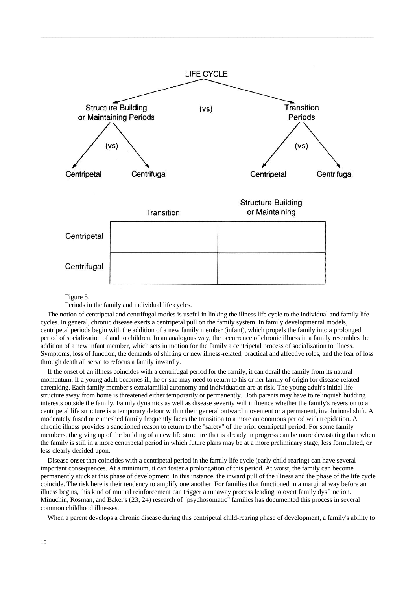

 $\_$  ,  $\_$  ,  $\_$  ,  $\_$  ,  $\_$  ,  $\_$  ,  $\_$  ,  $\_$  ,  $\_$  ,  $\_$  ,  $\_$  ,  $\_$  ,  $\_$  ,  $\_$  ,  $\_$  ,  $\_$  ,  $\_$  ,  $\_$  ,  $\_$  ,  $\_$  ,  $\_$  ,  $\_$  ,  $\_$  ,  $\_$  ,  $\_$  ,  $\_$  ,  $\_$  ,  $\_$  ,  $\_$  ,  $\_$  ,  $\_$  ,  $\_$  ,  $\_$  ,  $\_$  ,  $\_$  ,  $\_$  ,  $\_$  ,

Figure 5.

Periods in the family and individual life cycles.

The notion of centripetal and centrifugal modes is useful in linking the illness life cycle to the individual and family life cycles. In general, chronic disease exerts a centripetal pull on the family system. In family developmental models, centripetal periods begin with the addition of a new family member (infant), which propels the family into a prolonged period of socialization of and to children. In an analogous way, the occurrence of chronic illness in a family resembles the addition of a new infant member, which sets in motion for the family a centripetal process of socialization to illness. Symptoms, loss of function, the demands of shifting or new illness-related, practical and affective roles, and the fear of loss through death all serve to refocus a family inwardly.

If the onset of an illness coincides with a centrifugal period for the family, it can derail the family from its natural momentum. If a young adult becomes ill, he or she may need to return to his or her family of origin for disease-related caretaking. Each family member's extrafamilial autonomy and individuation are at risk. The young adult's initial life structure away from home is threatened either temporarily or permanently. Both parents may have to relinquish budding interests outside the family. Family dynamics as well as disease severity will influence whether the family's reversion to a centripetal life structure is a temporary detour within their general outward movement or a permanent, involutional shift. A moderately fused or enmeshed family frequently faces the transition to a more autonomous period with trepidation. A chronic illness provides a sanctioned reason to return to the "safety" of the prior centripetal period. For some family members, the giving up of the building of a new life structure that is already in progress can be more devastating than when the family is still in a more centripetal period in which future plans may be at a more preliminary stage, less formulated, or less clearly decided upon.

Disease onset that coincides with a centripetal period in the family life cycle (early child rearing) can have several important consequences. At a minimum, it can foster a prolongation of this period. At worst, the family can become permanently stuck at this phase of development. In this instance, the inward pull of the illness and the phase of the life cycle coincide. The risk here is their tendency to amplify one another. For families that functioned in a marginal way before an illness begins, this kind of mutual reinforcement can trigger a runaway process leading to overt family dysfunction. Minuchin, Rosman, and Baker's (23, 24) research of "psychosomatic" families has documented this process in several common childhood illnesses.

When a parent develops a chronic disease during this centripetal child-rearing phase of development, a family's ability to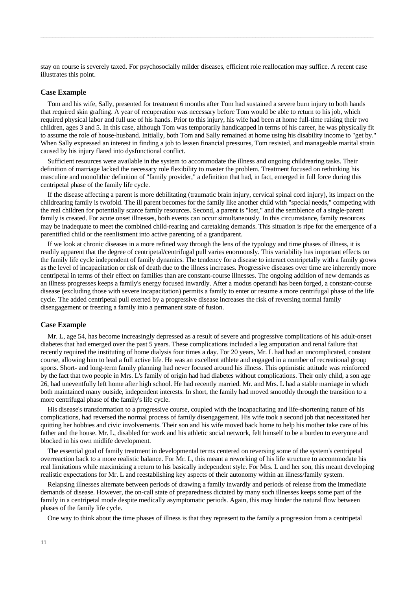stay on course is severely taxed. For psychosocially milder diseases, efficient role reallocation may suffice. A recent case illustrates this point.

 $\_$  ,  $\_$  ,  $\_$  ,  $\_$  ,  $\_$  ,  $\_$  ,  $\_$  ,  $\_$  ,  $\_$  ,  $\_$  ,  $\_$  ,  $\_$  ,  $\_$  ,  $\_$  ,  $\_$  ,  $\_$  ,  $\_$  ,  $\_$  ,  $\_$  ,  $\_$  ,  $\_$  ,  $\_$  ,  $\_$  ,  $\_$  ,  $\_$  ,  $\_$  ,  $\_$  ,  $\_$  ,  $\_$  ,  $\_$  ,  $\_$  ,  $\_$  ,  $\_$  ,  $\_$  ,  $\_$  ,  $\_$  ,  $\_$  ,

## **Case Example**

Tom and his wife, Sally, presented for treatment 6 months after Tom had sustained a severe burn injury to both hands that required skin grafting. A year of recuperation was necessary before Tom would be able to return to his job, which required physical labor and full use of his hands. Prior to this injury, his wife had been at home full-time raising their two children, ages 3 and 5. In this case, although Tom was temporarily handicapped in terms of his career, he was physically fit to assume the role of house-husband. Initially, both Tom and Sally remained at home using his disability income to "get by." When Sally expressed an interest in finding a job to lessen financial pressures, Tom resisted, and manageable marital strain caused by his injury flared into dysfunctional conflict.

Sufficient resources were available in the system to accommodate the illness and ongoing childrearing tasks. Their definition of marriage lacked the necessary role flexibility to master the problem. Treatment focused on rethinking his masculine and monolithic definition of "family provider," a definition that had, in fact, emerged in full force during this centripetal phase of the family life cycle.

If the disease affecting a parent is more debilitating (traumatic brain injury, cervical spinal cord injury), its impact on the childrearing family is twofold. The ill parent becomes for the family like another child with "special needs," competing with the real children for potentially scarce family resources. Second, a parent is "lost," and the semblence of a single-parent family is created. For acute onset illnesses, both events can occur simultaneously. In this circumstance, family resources may be inadequate to meet the combined child-rearing and caretaking demands. This situation is ripe for the emergence of a parentified child or the reenlistment into active parenting of a grandparent.

If we look at chronic diseases in a more refined way through the lens of the typology and time phases of illness, it is readily apparent that the degree of centripetal/centrifugal pull varies enormously. This variability has important effects on the family life cycle independent of family dynamics. The tendency for a disease to interact centripetally with a family grows as the level of incapacitation or risk of death due to the illness increases. Progressive diseases over time are inherently more centripetal in terms of their effect on families than are constant-course illnesses. The ongoing addition of new demands as an illness progresses keeps a family's energy focused inwardly. After a modus operandi has been forged, a constant-course disease (excluding those with severe incapacitation) permits a family to enter or resume a more centrifugal phase of the life cycle. The added centripetal pull exerted by a progressive disease increases the risk of reversing normal family disengagement or freezing a family into a permanent state of fusion.

#### **Case Example**

Mr. L, age 54, has become increasingly depressed as a result of severe and progressive complications of his adult-onset diabetes that had emerged over the past 5 years. These complications included a leg amputation and renal failure that recently required the instituting of home dialysis four times a day. For 20 years, Mr. L had had an uncomplicated, constant course, allowing him to lead a full active life. He was an excellent athlete and engaged in a number of recreational group sports. Short- and long-term family planning had never focused around his illness. This optimistic attitude was reinforced by the fact that two people in Mrs. L's family of origin had had diabetes without complications. Their only child, a son age 26, had uneventfully left home after high school. He had recently married. Mr. and Mrs. L had a stable marriage in which both maintained many outside, independent interests. In short, the family had moved smoothly through the transition to a more centrifugal phase of the family's life cycle.

His disease's transformation to a progressive course, coupled with the incapacitating and life-shortening nature of his complications, had reversed the normal process of family disengagement. His wife took a second job that necessitated her quitting her hobbies and civic involvements. Their son and his wife moved back home to help his mother take care of his father and the house. Mr. L, disabled for work and his athletic social network, felt himself to be a burden to everyone and blocked in his own midlife development.

The essential goal of family treatment in developmental terms centered on reversing some of the system's centripetal overreaction back to a more realistic balance. For Mr. L, this meant a reworking of his life structure to accommodate his real limitations while maximizing a return to his basically independent style. For Mrs. L and her son, this meant developing realistic expectations for Mr. L and reestablishing key aspects of their autonomy within an illness/family system.

Relapsing illnesses alternate between periods of drawing a family inwardly and periods of release from the immediate demands of disease. However, the on-call state of preparedness dictated by many such illnesses keeps some part of the family in a centripetal mode despite medically asymptomatic periods. Again, this may hinder the natural flow between phases of the family life cycle.

One way to think about the time phases of illness is that they represent to the family a progression from a centripetal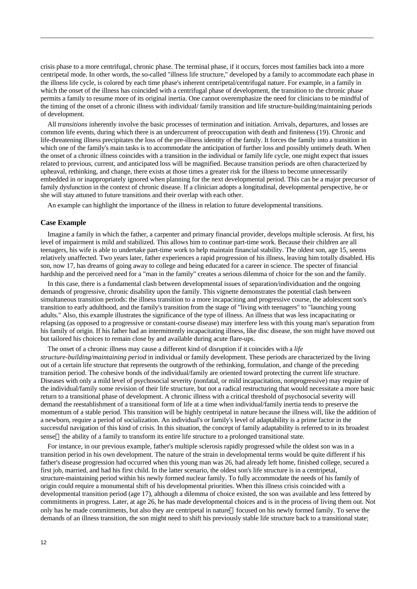crisis phase to a more centrifugal, chronic phase. The terminal phase, if it occurs, forces most families back into a more centripetal mode. In other words, the so-called "illness life structure," developed by a family to accommodate each phase in the illness life cycle, is colored by each time phase's inherent centripetal/centrifugal nature. For example, in a family in which the onset of the illness has coincided with a centrifugal phase of development, the transition to the chronic phase permits a family to resume more of its original inertia. One cannot overemphasize the need for clinicians to be mindful of the timing of the onset of a chronic illness with individual/ family transition and life structure-building/maintaining periods of development.

 $\_$  ,  $\_$  ,  $\_$  ,  $\_$  ,  $\_$  ,  $\_$  ,  $\_$  ,  $\_$  ,  $\_$  ,  $\_$  ,  $\_$  ,  $\_$  ,  $\_$  ,  $\_$  ,  $\_$  ,  $\_$  ,  $\_$  ,  $\_$  ,  $\_$  ,  $\_$  ,  $\_$  ,  $\_$  ,  $\_$  ,  $\_$  ,  $\_$  ,  $\_$  ,  $\_$  ,  $\_$  ,  $\_$  ,  $\_$  ,  $\_$  ,  $\_$  ,  $\_$  ,  $\_$  ,  $\_$  ,  $\_$  ,  $\_$  ,

All *transitions* inherently involve the basic processes of termination and initiation. Arrivals, departures, and losses are common life events, during which there is an undercurrent of preoccupation with death and finiteness (19). Chronic and life-threatening illness precipitates the loss of the pre-illness identity of the family. It forces the family into a transition in which one of the family's main tasks is to accommodate the anticipation of further loss and possibly untimely death. When the onset of a chronic illness coincides with a transition in the individual or family life cycle, one might expect that issues related to previous, current, and anticipated loss will be magnified. Because transition periods are often characterized by upheaval, rethinking, and change, there exists at those times a greater risk for the illness to become unnecessarily embedded in or inappropriately ignored when planning for the next developmental period. This can be a major precursor of family dysfunction in the context of chronic disease. If a clinician adopts a longitudinal, developmental perspective, he or she will stay attuned to future transitions and their overlap with each other.

An example can highlight the importance of the illness in relation to future developmental transitions.

#### **Case Example**

Imagine a family in which the father, a carpenter and primary financial provider, develops multiple sclerosis. At first, his level of impairment is mild and stabilized. This allows him to continue part-time work. Because their children are all teenagers, his wife is able to undertake part-time work to help maintain financial stability. The oldest son, age 15, seems relatively unaffected. Two years later, father experiences a rapid progression of his illness, leaving him totally disabled. His son, now 17, has dreams of going away to college and being educated for a career in science. The specter of financial hardship and the perceived need for a "man in the family" creates a serious dilemma of choice for the son and the family.

In this case, there is a fundamental clash between developmental issues of separation/individuation and the ongoing demands of progressive, chronic disability upon the family. This vignette demonstrates the potential clash between simultaneous transition periods: the illness transition to a more incapaciting and progressive course, the adolescent son's transition to early adulthood, and the family's transition from the stage of "living with teenagers" to "launching young adults." Also, this example illustrates the significance of the type of illness. An illness that was less incapacitating or relapsing (as opposed to a progressive or constant-course disease) may interfere less with this young man's separation from his family of origin. If his father had an intermittently incapacitating illness, like disc disease, the son might have moved out but tailored his choices to remain close by and available during acute flare-ups.

The onset of a chronic illness may cause a different kind of disruption if it coincides with a *life structure-building/maintaining period* in individual or family development. These periods are characterized by the living out of a certain life structure that represents the outgrowth of the rethinking, formulation, and change of the preceding transition period. The cohesive bonds of the individual/family are oriented toward protecting the current life structure. Diseases with only a mild level of psychosocial severity (nonfatal, or mild incapacitation, nonprogressive) may require of the individual/family some revision of their life structure, but not a radical restructuring that would necessitate a more basic return to a transitional phase of development. A chronic illness with a critical threshold of psychosocial severity will demand the reestablishment of a transitional form of life at a time when individual/family inertia tends to preserve the momentum of a stable period. This transition will be highly centripetal in nature because the illness will, like the addition of a newborn, require a period of socialization. An individual's or family's level of adaptability is a prime factor in the successful navigation of this kind of crisis. In this situation, the concept of family adaptability is referred to in its broadest sense—the ability of a family to transform its entire life structure to a prolonged transitional state.

For instance, in our previous example, father's multiple sclerosis rapidly progressed while the oldest son was in a transition period in his own development. The nature of the strain in developmental terms would be quite different if his father's disease progression had occurred when this young man was 26, had already left home, finished college, secured a first job, married, and had his first child. In the latter scenario, the oldest son's life structure is in a centripetal, structure-maintaining period within his newly formed nuclear family. To fully accommodate the needs of his family of origin could require a monumental shift of his developmental priorities. When this illness crisis coincided with a developmental transition period (age 17), although a dilemma of choice existed, the son was available and less fettered by commitments in progress. Later, at age 26, he has made developmental choices and is in the process of living them out. Not only has he made commitments, but also they are centripetal in nature—focused on his newly formed family. To serve the demands of an illness transition, the son might need to shift his previously stable life structure back to a transitional state;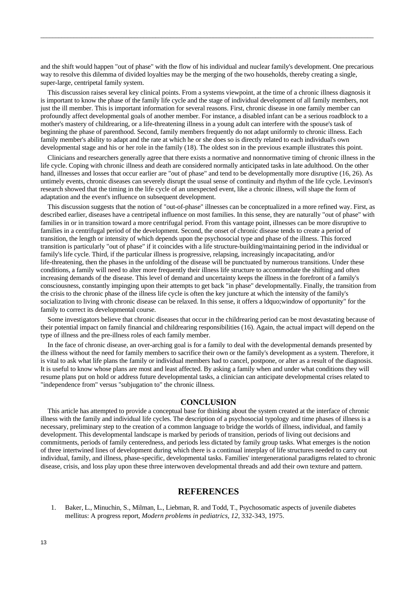and the shift would happen "out of phase" with the flow of his individual and nuclear family's development. One precarious way to resolve this dilemma of divided loyalties may be the merging of the two households, thereby creating a single, super-large, centripetal family system.

 $\_$  ,  $\_$  ,  $\_$  ,  $\_$  ,  $\_$  ,  $\_$  ,  $\_$  ,  $\_$  ,  $\_$  ,  $\_$  ,  $\_$  ,  $\_$  ,  $\_$  ,  $\_$  ,  $\_$  ,  $\_$  ,  $\_$  ,  $\_$  ,  $\_$  ,  $\_$  ,  $\_$  ,  $\_$  ,  $\_$  ,  $\_$  ,  $\_$  ,  $\_$  ,  $\_$  ,  $\_$  ,  $\_$  ,  $\_$  ,  $\_$  ,  $\_$  ,  $\_$  ,  $\_$  ,  $\_$  ,  $\_$  ,  $\_$  ,

This discussion raises several key clinical points. From a systems viewpoint, at the time of a chronic illness diagnosis it is important to know the phase of the family life cycle and the stage of individual development of all family members, not just the ill member. This is important information for several reasons. First, chronic disease in one family member can profoundly affect developmental goals of another member. For instance, a disabled infant can be a serious roadblock to a mother's mastery of childrearing, or a life-threatening illness in a young adult can interfere with the spouse's task of beginning the phase of parenthood. Second, family members frequently do not adapt uniformly to chronic illness. Each family member's ability to adapt and the rate at which he or she does so is directly related to each individual's own developmental stage and his or her role in the family (18). The oldest son in the previous example illustrates this point.

Clinicians and researchers generally agree that there exists a normative and nonnormative timing of chronic illness in the life cycle. Coping with chronic illness and death are considered normally anticipated tasks in late adulthood. On the other hand, illnesses and losses that occur earlier are "out of phase" and tend to be developmentally more disruptive (16, 26). As untimely events, chronic diseases can severely disrupt the usual sense of continuity and rhythm of the life cycle. Levinson's research showed that the timing in the life cycle of an unexpected event, like a chronic illness, will shape the form of adaptation and the event's influence on subsequent development.

This discussion suggests that the notion of "out-of-phase" illnesses can be conceptualized in a more refined way. First, as described earlier, diseases have a centripetal influence on most families. In this sense, they are naturally "out of phase" with families in or in transition toward a more centrifugal period. From this vantage point, illnesses can be more disruptive to families in a centrifugal period of the development. Second, the onset of chronic disease tends to create a period of transition, the length or intensity of which depends upon the psychosocial type and phase of the illness. This forced transition is particularly "out of phase" if it coincides with a life structure-building/maintaining period in the individual or family's life cycle. Third, if the particular illness is progressive, relapsing, increasingly incapacitating, and/or life-threatening, then the phases in the unfolding of the disease will be punctuated by numerous transitions. Under these conditions, a family will need to alter more frequently their illness life structure to accommodate the shifting and often increasing demands of the disease. This level of demand and uncertainty keeps the illness in the forefront of a family's consciousness, constantly impinging upon their attempts to get back "in phase" developmentally. Finally, the transition from the crisis to the chronic phase of the illness life cycle is often the key juncture at which the intensity of the family's socialization to living with chronic disease can be relaxed. In this sense, it offers a ldquo;window of opportunity" for the family to correct its developmental course.

Some investigators believe that chronic diseases that occur in the childrearing period can be most devastating because of their potential impact on family financial and childrearing responsibilities (16). Again, the actual impact will depend on the type of illness and the pre-illness roles of each family member.

In the face of chronic disease, an over-arching goal is for a family to deal with the developmental demands presented by the illness without the need for family members to sacrifice their own or the family's development as a system. Therefore, it is vital to ask what life plans the family or individual members had to cancel, postpone, or alter as a result of the diagnosis. It is useful to know whose plans are most and least affected. By asking a family when and under what conditions they will resume plans put on hold or address future developmental tasks, a clinician can anticipate developmental crises related to "independence from" versus "subjugation to" the chronic illness.

#### **CONCLUSION**

This article has attempted to provide a conceptual base for thinking about the system created at the interface of chronic illness with the family and individual life cycles. The description of a psychosocial typology and time phases of illness is a necessary, preliminary step to the creation of a common language to bridge the worlds of illness, individual, and family development. This developmental landscape is marked by periods of transition, periods of living out decisions and commitments, periods of family centeredness, and periods less dictated by family group tasks. What emerges is the notion of three intertwined lines of development during which there is a continual interplay of life structures needed to carry out individual, family, and illness, phase-specific, developmental tasks. Families' intergenerational paradigms related to chronic disease, crisis, and loss play upon these three interwoven developmental threads and add their own texture and pattern.

## **REFERENCES**

 1. Baker, L., Minuchin, S., Milman, L., Liebman, R. and Todd, T., Psychosomatic aspects of juvenile diabetes mellitus: A progress report, *Modern problems in pediatrics, 12,* 332-343, 1975.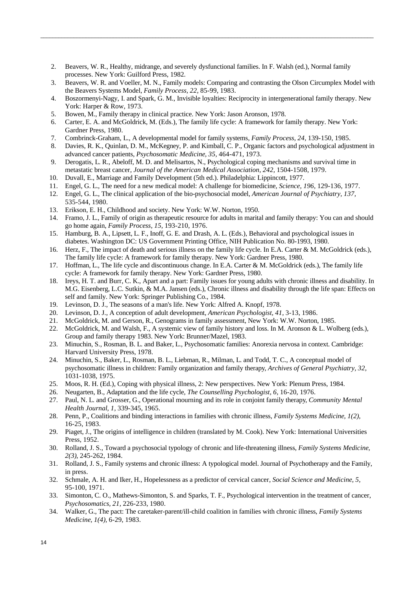2. Beavers, W. R., Healthy, midrange, and severely dysfunctional families. In F. Walsh (ed.), Normal family processes. New York: Guilford Press, 1982.

 $\_$  ,  $\_$  ,  $\_$  ,  $\_$  ,  $\_$  ,  $\_$  ,  $\_$  ,  $\_$  ,  $\_$  ,  $\_$  ,  $\_$  ,  $\_$  ,  $\_$  ,  $\_$  ,  $\_$  ,  $\_$  ,  $\_$  ,  $\_$  ,  $\_$  ,  $\_$  ,  $\_$  ,  $\_$  ,  $\_$  ,  $\_$  ,  $\_$  ,  $\_$  ,  $\_$  ,  $\_$  ,  $\_$  ,  $\_$  ,  $\_$  ,  $\_$  ,  $\_$  ,  $\_$  ,  $\_$  ,  $\_$  ,  $\_$  ,

- 3. Beavers, W. R. and Voeller, M. N., Family models: Comparing and contrasting the Olson Circumplex Model with the Beavers Systems Model, *Family Process, 22,* 85-99, 1983.
- 4. Boszormenyi-Nagy, I. and Spark, G. M., Invisible loyalties: Reciprocity in intergenerational family therapy. New York: Harper & Row, 1973.
- 5. Bowen, M., Family therapy in clinical practice. New York: Jason Aronson, 1978.
- 6. Carter, E. A. and McGoldrick, M. (Eds.), The family life cycle: A framework for family therapy. New York: Gardner Press, 1980.
- 7. Combrinck-Graham, L., A developmental model for family systems, *Family Process, 24,* 139-150, 1985.
- 8. Davies, R. K., Quinlan, D. M., McKegney, P. and Kimball, C. P., Organic factors and psychological adjustment in advanced cancer patients, *Psychosomatic Medicine, 35,* 464-471, 1973.
- 9. Derogatis, L. R., Abeloff, M. D. and Melisartos, N., Psychological coping mechanisms and survival time in metastatic breast cancer, *Journal of the American Medical Association, 242,* 1504-1508, 1979.
- 10. Duvall, E., Marriage and Family Development (5th ed.). Philadelphia: Lippincott, 1977.
- 11. Engel, G. L., The need for a new medical model: A challenge for biomedicine, *Science, 196,* 129-136, 1977.
- 12. Engel, G. L., The clinical application of the bio-psychosocial model, *American Journal of Psychiatry, 137,* 535-544, 1980.
- 13. Erikson, E. H., Childhood and society. New York: W.W. Norton, 1950.
- 14. Framo, J. L., Family of origin as therapeutic resource for adults in marital and family therapy: You can and should go home again, *Family Process, 15,* 193-210, 1976.
- 15. Hamburg, B. A., Lipsett, L. F., Inoff, G. E. and Drash, A. L. (Eds.), Behavioral and psychological issues in diabetes. Washington DC: US Government Printing Office, NIH Publication No. 80-1993, 1980.
- 16. Herz, F., The impact of death and serious illness on the family life cycle. In E.A. Carter & M. McGoldrick (eds.), The family life cycle: A framework for family therapy. New York: Gardner Press, 1980.
- 17. Hoffman, L., The life cycle and discontinuous change. In E.A. Carter & M. McGoldrick (eds.), The family life cycle: A framework for family therapy. New York: Gardner Press, 1980.
- 18. Ireys, H. T. and Burr, C. K., Apart and a part: Family issues for young adults with chronic illness and disability. In M.G. Eisenberg, L.C. Sutkin, & M.A. Jansen (eds.), Chronic illness and disability through the life span: Effects on self and family. New York: Springer Publishing Co., 1984.
- 19. Levinson, D. J., The seasons of a man's life. New York: Alfred A. Knopf, 1978.
- 20. Levinson, D. J., A conception of adult development, *American Psychologist, 41,* 3-13, 1986.
- 21. McGoldrick, M. and Gerson, R., Genograms in family assessment, New York: W.W. Norton, 1985.
- 22. McGoldrick, M. and Walsh, F., A systemic view of family history and loss. In M. Aronson & L. Wolberg (eds.), Group and family therapy 1983. New York: Brunner/Mazel, 1983.
- 23. Minuchin, S., Rosman, B. L. and Baker, L., Psychosomatic families: Anorexia nervosa in context. Cambridge: Harvard University Press, 1978.
- 24. Minuchin, S., Baker, L., Rosman, B. L., Liebman, R., Milman, L. and Todd, T. C., A conceptual model of psychosomatic illness in children: Family organization and family therapy, *Archives of General Psychiatry, 32,* 1031-1038, 1975.
- 25. Moos, R. H. (Ed.), Coping with physical illness, 2: New perspectives. New York: Plenum Press, 1984.
- 26. Neugarten, B., Adaptation and the life cycle, *The Counselling Psychologist, 6,* 16-20, 1976.
- 27. Paul, N. L. and Grosser, G., Operational mourning and its role in conjoint family therapy, *Community Mental Health Journal, 1,* 339-345, 1965.
- 28. Penn, P., Coalitions and binding interactions in families with chronic illness, *Family Systems Medicine, 1(2),* 16-25, 1983.
- 29. Piaget, J., The origins of intelligence in children (translated by M. Cook). New York: International Universities Press, 1952.
- 30. Rolland, J. S., Toward a psychosocial typology of chronic and life-threatening illness, *Family Systems Medicine, 2(3),* 245-262, 1984.
- 31. Rolland, J. S., Family systems and chronic illness: A typological model. Journal of Psychotherapy and the Family, in press.
- 32. Schmale, A. H. and Iker, H., Hopelessness as a predictor of cervical cancer, *Social Science and Medicine, 5,* 95-100, 1971.
- 33. Simonton, C. O., Mathews-Simonton, S. and Sparks, T. F., Psychological intervention in the treatment of cancer, *Psychosomatics, 21,* 226-233, 1980.
- 34. Walker, G., The pact: The caretaker-parent/ill-child coalition in families with chronic illness, *Family Systems Medicine, 1(4),* 6-29, 1983.